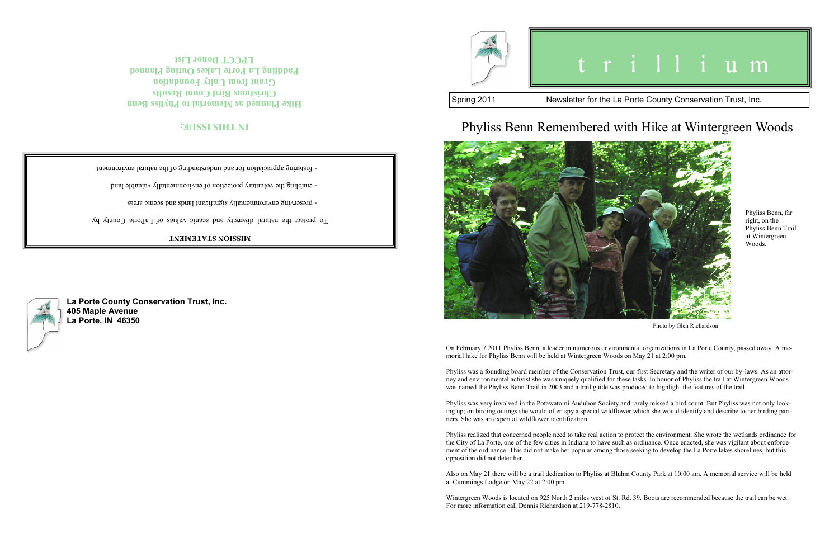**La Porte County Conservation Trust, Inc.**

**405 Maple Avenue La Porte, IN 46350**

## **IN THIS ISSUE:**

**Hike Planned as Memorial to Phyliss Benn Christmas Bird Count Results Grant from Unity Foundation Paddling La Porte Lakes Outing Planned LPCCT Donor List**



#### **MISSION STATEMENT**

To protect the natural diversity and scenic values of LaPorte County by

- breserving environmentally significant language and scenic areas

enabling the voluntary protection of environmentally valuable land

fostering appreciation for and understanding of the natural environment -

# t r i l l i u m

#### Spring 2011 Newsletter for the La Porte County Conservation Trust, Inc.

On February 7 2011 Phyliss Benn, a leader in numerous environmental organizations in La Porte County, passed away. A me-

morial hike for Phyliss Benn will be held at Wintergreen Woods on May 21 at 2:00 pm.

Phyliss was a founding board member of the Conservation Trust, our first Secretary and the writer of our by-laws. As an attorney and environmental activist she was uniquely qualified for these tasks. In honor of Phyliss the trail at Wintergreen Woods was named the Phyliss Benn Trail in 2003 and a trail guide was produced to highlight the features of the trail.

Phyliss was very involved in the Potawatomi Audubon Society and rarely missed a bird count. But Phyliss was not only looking up; on birding outings she would often spy a special wildflower which she would identify and describe to her birding partners. She was an expert at wildflower identification.

Phyliss realized that concerned people need to take real action to protect the environment. She wrote the wetlands ordinance for the City of La Porte, one of the few cities in Indiana to have such as ordinance. Once enacted, she was vigilant about enforcement of the ordinance. This did not make her popular among those seeking to develop the La Porte lakes shorelines, but this opposition did not deter her.

Also on May 21 there will be a trail dedication to Phyliss at Bluhm County Park at 10:00 am. A memorial service will be held at Cummings Lodge on May 22 at 2:00 pm.

Wintergreen Woods is located on 925 North 2 miles west of St. Rd. 39. Boots are recommended because the trail can be wet.



## Phyliss Benn Remembered with Hike at Wintergreen Woods





Photo by Glen Richardson

Phyliss Benn, far right, on the Phyliss Benn Trail at Wintergreen Woods.